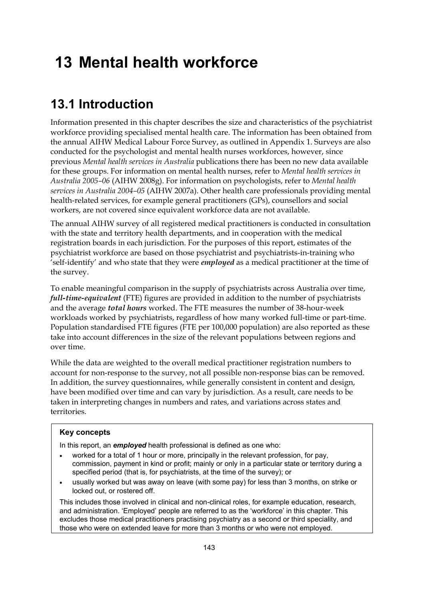# **13 Mental health workforce**

## **13.1 Introduction**

Information presented in this chapter describes the size and characteristics of the psychiatrist workforce providing specialised mental health care. The information has been obtained from the annual AIHW Medical Labour Force Survey, as outlined in Appendix 1. Surveys are also conducted for the psychologist and mental health nurses workforces, however, since previous *Mental health services in Australia* publications there has been no new data available for these groups. For information on mental health nurses, refer to *Mental health services in Australia 2005–06* (AIHW 2008g). For information on psychologists, refer to *Mental health services in Australia 2004–05* (AIHW 2007a). Other health care professionals providing mental health-related services, for example general practitioners (GPs), counsellors and social workers, are not covered since equivalent workforce data are not available.

The annual AIHW survey of all registered medical practitioners is conducted in consultation with the state and territory health departments, and in cooperation with the medical registration boards in each jurisdiction. For the purposes of this report, estimates of the psychiatrist workforce are based on those psychiatrist and psychiatrists-in-training who 'self-identify' and who state that they were *employed* as a medical practitioner at the time of the survey.

To enable meaningful comparison in the supply of psychiatrists across Australia over time, *full-time-equivalent* (FTE) figures are provided in addition to the number of psychiatrists and the average *total hours* worked. The FTE measures the number of 38-hour-week workloads worked by psychiatrists, regardless of how many worked full-time or part-time. Population standardised FTE figures (FTE per 100,000 population) are also reported as these take into account differences in the size of the relevant populations between regions and over time.

While the data are weighted to the overall medical practitioner registration numbers to account for non-response to the survey, not all possible non-response bias can be removed. In addition, the survey questionnaires, while generally consistent in content and design, have been modified over time and can vary by jurisdiction. As a result, care needs to be taken in interpreting changes in numbers and rates, and variations across states and territories.

### **Key concepts**

In this report, an *employed* health professional is defined as one who:

- worked for a total of 1 hour or more, principally in the relevant profession, for pay, commission, payment in kind or profit; mainly or only in a particular state or territory during a specified period (that is, for psychiatrists, at the time of the survey); or
- usually worked but was away on leave (with some pay) for less than 3 months, on strike or locked out, or rostered off.

This includes those involved in clinical and non-clinical roles, for example education, research, and administration. 'Employed' people are referred to as the 'workforce' in this chapter. This excludes those medical practitioners practising psychiatry as a second or third speciality, and those who were on extended leave for more than 3 months or who were not employed.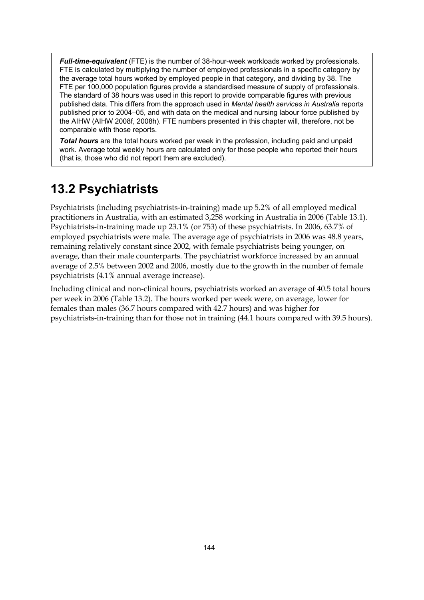*Full-time-equivalent* (FTE) is the number of 38-hour-week workloads worked by professionals. FTE is calculated by multiplying the number of employed professionals in a specific category by the average total hours worked by employed people in that category, and dividing by 38. The FTE per 100,000 population figures provide a standardised measure of supply of professionals. The standard of 38 hours was used in this report to provide comparable figures with previous published data. This differs from the approach used in *Mental health services in Australia* reports published prior to 2004–05, and with data on the medical and nursing labour force published by the AIHW (AIHW 2008f, 2008h). FTE numbers presented in this chapter will, therefore, not be comparable with those reports.

*Total hours* are the total hours worked per week in the profession, including paid and unpaid work. Average total weekly hours are calculated only for those people who reported their hours (that is, those who did not report them are excluded).

## **13.2 Psychiatrists**

Psychiatrists (including psychiatrists-in-training) made up 5.2% of all employed medical practitioners in Australia, with an estimated 3,258 working in Australia in 2006 (Table 13.1). Psychiatrists-in-training made up 23.1% (or 753) of these psychiatrists. In 2006, 63.7% of employed psychiatrists were male. The average age of psychiatrists in 2006 was 48.8 years, remaining relatively constant since 2002, with female psychiatrists being younger, on average, than their male counterparts. The psychiatrist workforce increased by an annual average of 2.5% between 2002 and 2006, mostly due to the growth in the number of female psychiatrists (4.1% annual average increase).

Including clinical and non-clinical hours, psychiatrists worked an average of 40.5 total hours per week in 2006 (Table 13.2). The hours worked per week were, on average, lower for females than males (36.7 hours compared with 42.7 hours) and was higher for psychiatrists-in-training than for those not in training (44.1 hours compared with 39.5 hours).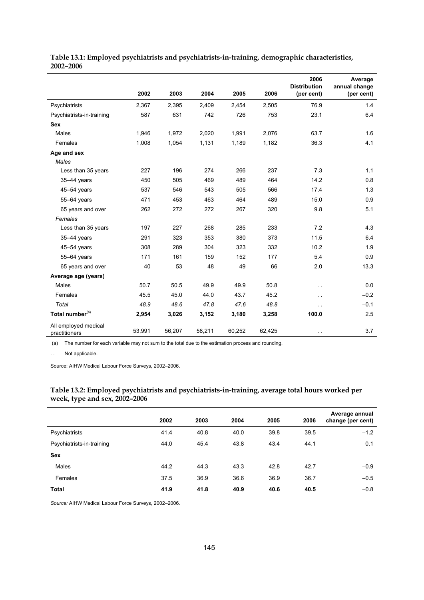|                                       |        |        |        |        |        | 2006<br><b>Distribution</b> | Average<br>annual change |
|---------------------------------------|--------|--------|--------|--------|--------|-----------------------------|--------------------------|
|                                       | 2002   | 2003   | 2004   | 2005   | 2006   | (per cent)                  | (per cent)               |
| Psychiatrists                         | 2,367  | 2,395  | 2.409  | 2,454  | 2,505  | 76.9                        | 1.4                      |
| Psychiatrists-in-training             | 587    | 631    | 742    | 726    | 753    | 23.1                        | 6.4                      |
| <b>Sex</b>                            |        |        |        |        |        |                             |                          |
| Males                                 | 1,946  | 1,972  | 2,020  | 1,991  | 2,076  | 63.7                        | 1.6                      |
| Females                               | 1,008  | 1,054  | 1,131  | 1,189  | 1,182  | 36.3                        | 4.1                      |
| Age and sex                           |        |        |        |        |        |                             |                          |
| Males                                 |        |        |        |        |        |                             |                          |
| Less than 35 years                    | 227    | 196    | 274    | 266    | 237    | 7.3                         | 1.1                      |
| $35-44$ years                         | 450    | 505    | 469    | 489    | 464    | 14.2                        | 0.8                      |
| 45-54 years                           | 537    | 546    | 543    | 505    | 566    | 17.4                        | 1.3                      |
| 55-64 years                           | 471    | 453    | 463    | 464    | 489    | 15.0                        | 0.9                      |
| 65 years and over                     | 262    | 272    | 272    | 267    | 320    | 9.8                         | 5.1                      |
| Females                               |        |        |        |        |        |                             |                          |
| Less than 35 years                    | 197    | 227    | 268    | 285    | 233    | 7.2                         | 4.3                      |
| $35-44$ years                         | 291    | 323    | 353    | 380    | 373    | 11.5                        | 6.4                      |
| $45 - 54$ years                       | 308    | 289    | 304    | 323    | 332    | 10.2                        | 1.9                      |
| 55-64 years                           | 171    | 161    | 159    | 152    | 177    | 5.4                         | 0.9                      |
| 65 years and over                     | 40     | 53     | 48     | 49     | 66     | 2.0                         | 13.3                     |
| Average age (years)                   |        |        |        |        |        |                             |                          |
| Males                                 | 50.7   | 50.5   | 49.9   | 49.9   | 50.8   | $\sim$ $\sim$               | 0.0                      |
| Females                               | 45.5   | 45.0   | 44.0   | 43.7   | 45.2   | $\ddotsc$                   | $-0.2$                   |
| Total                                 | 48.9   | 48.6   | 47.8   | 47.6   | 48.8   | . .                         | $-0.1$                   |
| Total number <sup>(a)</sup>           | 2,954  | 3,026  | 3,152  | 3,180  | 3,258  | 100.0                       | 2.5                      |
| All employed medical<br>practitioners | 53,991 | 56,207 | 58,211 | 60,252 | 62,425 | $\ddotsc$                   | 3.7                      |

**Table 13.1: Employed psychiatrists and psychiatrists-in-training, demographic characteristics, 2002–2006** 

(a) The number for each variable may not sum to the total due to the estimation process and rounding.

. . Not applicable.

l,

Source: AIHW Medical Labour Force Surveys, 2002–2006.

|                           | 2002 | 2003 | 2004 | 2005 | 2006 | Average annual<br>change (per cent) |
|---------------------------|------|------|------|------|------|-------------------------------------|
| Psychiatrists             | 41.4 | 40.8 | 40.0 | 39.8 | 39.5 | $-1.2$                              |
| Psychiatrists-in-training | 44.0 | 45.4 | 43.8 | 43.4 | 44.1 | 0.1                                 |
| <b>Sex</b>                |      |      |      |      |      |                                     |
| Males                     | 44.2 | 44.3 | 43.3 | 42.8 | 42.7 | $-0.9$                              |
| Females                   | 37.5 | 36.9 | 36.6 | 36.9 | 36.7 | $-0.5$                              |
| <b>Total</b>              | 41.9 | 41.8 | 40.9 | 40.6 | 40.5 | $-0.8$                              |

#### **Table 13.2: Employed psychiatrists and psychiatrists-in-training, average total hours worked per week, type and sex, 2002–2006**

*Source:* AIHW Medical Labour Force Surveys, 2002–2006.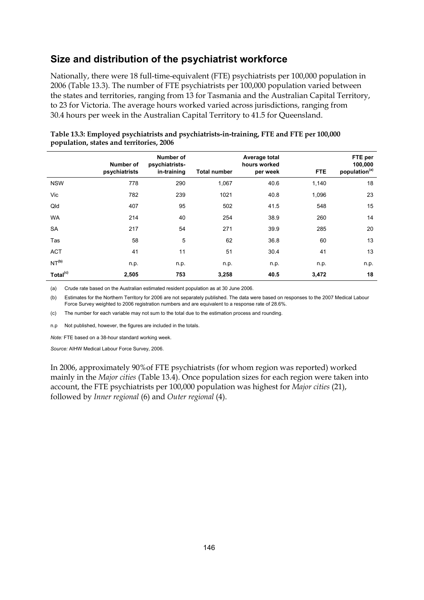## **Size and distribution of the psychiatrist workforce**

Nationally, there were 18 full-time-equivalent (FTE) psychiatrists per 100,000 population in 2006 (Table 13.3). The number of FTE psychiatrists per 100,000 population varied between the states and territories, ranging from 13 for Tasmania and the Australian Capital Territory, to 23 for Victoria. The average hours worked varied across jurisdictions, ranging from 30.4 hours per week in the Australian Capital Territory to 41.5 for Queensland.

|                      | Number of<br>psychiatrists | Number of<br>psychiatrists-<br>in-training | <b>Total number</b> | Average total<br>hours worked<br>per week | <b>FTE</b> | FTE per<br>100,000<br>population <sup>(a)</sup> |
|----------------------|----------------------------|--------------------------------------------|---------------------|-------------------------------------------|------------|-------------------------------------------------|
| <b>NSW</b>           | 778                        | 290                                        | 1,067               | 40.6                                      | 1,140      | 18                                              |
| Vic                  | 782                        | 239                                        | 1021                | 40.8                                      | 1,096      | 23                                              |
| Qld                  | 407                        | 95                                         | 502                 | 41.5                                      | 548        | 15                                              |
| <b>WA</b>            | 214                        | 40                                         | 254                 | 38.9                                      | 260        | 14                                              |
| <b>SA</b>            | 217                        | 54                                         | 271                 | 39.9                                      | 285        | 20                                              |
| Tas                  | 58                         | 5                                          | 62                  | 36.8                                      | 60         | 13                                              |
| <b>ACT</b>           | 41                         | 11                                         | 51                  | 30.4                                      | 41         | 13                                              |
| NT <sup>(b)</sup>    | n.p.                       | n.p.                                       | n.p.                | n.p.                                      | n.p.       | n.p.                                            |
| Total <sup>(c)</sup> | 2,505                      | 753                                        | 3,258               | 40.5                                      | 3,472      | 18                                              |

| Table 13.3: Employed psychiatrists and psychiatrists-in-training, FTE and FTE per 100,000 |  |
|-------------------------------------------------------------------------------------------|--|
| population, states and territories, 2006                                                  |  |

(a) Crude rate based on the Australian estimated resident population as at 30 June 2006.

(b) Estimates for the Northern Territory for 2006 are not separately published. The data were based on responses to the 2007 Medical Labour Force Survey weighted to 2006 registration numbers and are equivalent to a response rate of 28.6%.

(c) The number for each variable may not sum to the total due to the estimation process and rounding.

n.p Not published, however, the figures are included in the totals.

*Note:* FTE based on a 38-hour standard working week.

*Source:* AIHW Medical Labour Force Survey, 2006.

In 2006, approximately 90%of FTE psychiatrists (for whom region was reported) worked mainly in the *Major cities* (Table 13.4). Once population sizes for each region were taken into account, the FTE psychiatrists per 100,000 population was highest for *Major cities* (21), followed by *Inner regional* (6) and *Outer regional* (4).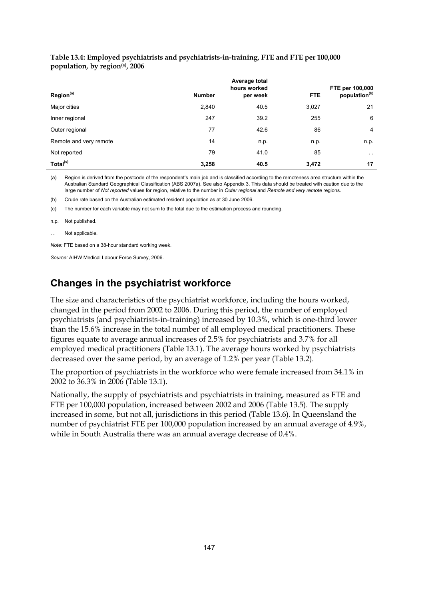| Table 13.4: Employed psychiatrists and psychiatrists-in-training, FTE and FTE per 100,000 |  |
|-------------------------------------------------------------------------------------------|--|
| population, by region(a), 2006                                                            |  |

|                        |               | Average total<br>hours worked |            | FTE per 100,000           |
|------------------------|---------------|-------------------------------|------------|---------------------------|
| Region <sup>(a)</sup>  | <b>Number</b> | per week                      | <b>FTE</b> | population <sup>(b)</sup> |
| Major cities           | 2,840         | 40.5                          | 3,027      | 21                        |
| Inner regional         | 247           | 39.2                          | 255        | 6                         |
| Outer regional         | 77            | 42.6                          | 86         | 4                         |
| Remote and very remote | 14            | n.p.                          | n.p.       | n.p.                      |
| Not reported           | 79            | 41.0                          | 85         | $\sim$ $\sim$             |
| Total <sup>(c)</sup>   | 3,258         | 40.5                          | 3,472      | 17                        |

(a) Region is derived from the postcode of the respondent's main job and is classified according to the remoteness area structure within the Australian Standard Geographical Classification (ABS 2007a). See also Appendix 3. This data should be treated with caution due to the large number of *Not reported* values for region, relative to the number in *Outer regional* and *Remote and very remote* regions.

(b) Crude rate based on the Australian estimated resident population as at 30 June 2006.

(c) The number for each variable may not sum to the total due to the estimation process and rounding.

n.p. Not published.

Not applicable.

*Note:* FTE based on a 38-hour standard working week.

*Source:* AIHW Medical Labour Force Survey, 2006.

### **Changes in the psychiatrist workforce**

The size and characteristics of the psychiatrist workforce, including the hours worked, changed in the period from 2002 to 2006. During this period, the number of employed psychiatrists (and psychiatrists-in-training) increased by 10.3%, which is one-third lower than the 15.6% increase in the total number of all employed medical practitioners. These figures equate to average annual increases of 2.5% for psychiatrists and 3.7% for all employed medical practitioners (Table 13.1). The average hours worked by psychiatrists decreased over the same period, by an average of 1.2% per year (Table 13.2).

The proportion of psychiatrists in the workforce who were female increased from 34.1% in 2002 to 36.3% in 2006 (Table 13.1).

Nationally, the supply of psychiatrists and psychiatrists in training, measured as FTE and FTE per 100,000 population, increased between 2002 and 2006 (Table 13.5). The supply increased in some, but not all, jurisdictions in this period (Table 13.6). In Queensland the number of psychiatrist FTE per 100,000 population increased by an annual average of 4.9%, while in South Australia there was an annual average decrease of 0.4%.